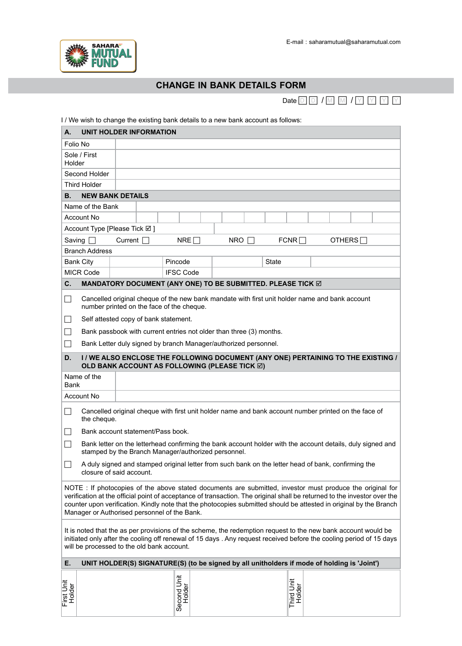

## **ChAnGe in BAnk detAils form**

Date  $\boxed{\text{D}}$   $\boxed{\text{M}}$   $\boxed{\text{M}}$   $\boxed{\text{Y}}$   $\boxed{\text{Y}}$   $\boxed{\text{Y}}$ 

| I / We wish to change the existing bank details to a new bank account as follows:                                                                                                                                                                                                                                                                                                                           |                                                                                                                                 |                                                                                                                                                                   |                                |                       |     |                                                                                                                                    |  |              |             |  |  |  |               |  |
|-------------------------------------------------------------------------------------------------------------------------------------------------------------------------------------------------------------------------------------------------------------------------------------------------------------------------------------------------------------------------------------------------------------|---------------------------------------------------------------------------------------------------------------------------------|-------------------------------------------------------------------------------------------------------------------------------------------------------------------|--------------------------------|-----------------------|-----|------------------------------------------------------------------------------------------------------------------------------------|--|--------------|-------------|--|--|--|---------------|--|
| А.                                                                                                                                                                                                                                                                                                                                                                                                          |                                                                                                                                 |                                                                                                                                                                   | <b>UNIT HOLDER INFORMATION</b> |                       |     |                                                                                                                                    |  |              |             |  |  |  |               |  |
|                                                                                                                                                                                                                                                                                                                                                                                                             | Folio No                                                                                                                        |                                                                                                                                                                   |                                |                       |     |                                                                                                                                    |  |              |             |  |  |  |               |  |
| Sole / First<br>Holder                                                                                                                                                                                                                                                                                                                                                                                      |                                                                                                                                 |                                                                                                                                                                   |                                |                       |     |                                                                                                                                    |  |              |             |  |  |  |               |  |
| Second Holder                                                                                                                                                                                                                                                                                                                                                                                               |                                                                                                                                 |                                                                                                                                                                   |                                |                       |     |                                                                                                                                    |  |              |             |  |  |  |               |  |
|                                                                                                                                                                                                                                                                                                                                                                                                             | Third Holder                                                                                                                    |                                                                                                                                                                   |                                |                       |     |                                                                                                                                    |  |              |             |  |  |  |               |  |
| В.                                                                                                                                                                                                                                                                                                                                                                                                          | <b>NEW BANK DETAILS</b>                                                                                                         |                                                                                                                                                                   |                                |                       |     |                                                                                                                                    |  |              |             |  |  |  |               |  |
| Name of the Bank                                                                                                                                                                                                                                                                                                                                                                                            |                                                                                                                                 |                                                                                                                                                                   |                                |                       |     |                                                                                                                                    |  |              |             |  |  |  |               |  |
|                                                                                                                                                                                                                                                                                                                                                                                                             | Account No                                                                                                                      |                                                                                                                                                                   |                                |                       |     |                                                                                                                                    |  |              |             |  |  |  |               |  |
| Account Type [Please Tick ⊠]                                                                                                                                                                                                                                                                                                                                                                                |                                                                                                                                 |                                                                                                                                                                   |                                |                       |     |                                                                                                                                    |  |              |             |  |  |  |               |  |
|                                                                                                                                                                                                                                                                                                                                                                                                             | Saving $\Box$                                                                                                                   | Current $\Box$                                                                                                                                                    |                                |                       | NRE | $NRO$ $\Box$                                                                                                                       |  |              | $FCNR \Box$ |  |  |  | OTHERS $\Box$ |  |
| <b>Branch Address</b>                                                                                                                                                                                                                                                                                                                                                                                       |                                                                                                                                 |                                                                                                                                                                   |                                |                       |     |                                                                                                                                    |  |              |             |  |  |  |               |  |
|                                                                                                                                                                                                                                                                                                                                                                                                             | <b>Bank City</b>                                                                                                                |                                                                                                                                                                   |                                | Pincode               |     |                                                                                                                                    |  | <b>State</b> |             |  |  |  |               |  |
|                                                                                                                                                                                                                                                                                                                                                                                                             | <b>MICR Code</b>                                                                                                                |                                                                                                                                                                   |                                | <b>IFSC Code</b>      |     |                                                                                                                                    |  |              |             |  |  |  |               |  |
| C.                                                                                                                                                                                                                                                                                                                                                                                                          | MANDATORY DOCUMENT (ANY ONE) TO BE SUBMITTED. PLEASE TICK Ø                                                                     |                                                                                                                                                                   |                                |                       |     |                                                                                                                                    |  |              |             |  |  |  |               |  |
| П                                                                                                                                                                                                                                                                                                                                                                                                           |                                                                                                                                 | Cancelled original cheque of the new bank mandate with first unit holder name and bank account<br>number printed on the face of the cheque.                       |                                |                       |     |                                                                                                                                    |  |              |             |  |  |  |               |  |
|                                                                                                                                                                                                                                                                                                                                                                                                             |                                                                                                                                 | Self attested copy of bank statement.                                                                                                                             |                                |                       |     |                                                                                                                                    |  |              |             |  |  |  |               |  |
| $\vert \ \ \vert$                                                                                                                                                                                                                                                                                                                                                                                           |                                                                                                                                 | Bank passbook with current entries not older than three (3) months.                                                                                               |                                |                       |     |                                                                                                                                    |  |              |             |  |  |  |               |  |
| $\vert \ \ \vert$                                                                                                                                                                                                                                                                                                                                                                                           |                                                                                                                                 |                                                                                                                                                                   |                                |                       |     | Bank Letter duly signed by branch Manager/authorized personnel.                                                                    |  |              |             |  |  |  |               |  |
|                                                                                                                                                                                                                                                                                                                                                                                                             |                                                                                                                                 |                                                                                                                                                                   |                                |                       |     |                                                                                                                                    |  |              |             |  |  |  |               |  |
| D.                                                                                                                                                                                                                                                                                                                                                                                                          |                                                                                                                                 |                                                                                                                                                                   |                                |                       |     | I / WE ALSO ENCLOSE THE FOLLOWING DOCUMENT (ANY ONE) PERTAINING TO THE EXISTING /<br>OLD BANK ACCOUNT AS FOLLOWING (PLEASE TICK ⊠) |  |              |             |  |  |  |               |  |
| Name of the<br>Bank                                                                                                                                                                                                                                                                                                                                                                                         |                                                                                                                                 |                                                                                                                                                                   |                                |                       |     |                                                                                                                                    |  |              |             |  |  |  |               |  |
| Account No                                                                                                                                                                                                                                                                                                                                                                                                  |                                                                                                                                 |                                                                                                                                                                   |                                |                       |     |                                                                                                                                    |  |              |             |  |  |  |               |  |
| П                                                                                                                                                                                                                                                                                                                                                                                                           | Cancelled original cheque with first unit holder name and bank account number printed on the face of<br>the cheque.             |                                                                                                                                                                   |                                |                       |     |                                                                                                                                    |  |              |             |  |  |  |               |  |
|                                                                                                                                                                                                                                                                                                                                                                                                             |                                                                                                                                 | Bank account statement/Pass book.                                                                                                                                 |                                |                       |     |                                                                                                                                    |  |              |             |  |  |  |               |  |
|                                                                                                                                                                                                                                                                                                                                                                                                             |                                                                                                                                 | Bank letter on the letterhead confirming the bank account holder with the account details, duly signed and<br>stamped by the Branch Manager/authorized personnel. |                                |                       |     |                                                                                                                                    |  |              |             |  |  |  |               |  |
|                                                                                                                                                                                                                                                                                                                                                                                                             | A duly signed and stamped original letter from such bank on the letter head of bank, confirming the<br>closure of said account. |                                                                                                                                                                   |                                |                       |     |                                                                                                                                    |  |              |             |  |  |  |               |  |
| NOTE : If photocopies of the above stated documents are submitted, investor must produce the original for<br>verification at the official point of acceptance of transaction. The original shall be returned to the investor over the<br>counter upon verification. Kindly note that the photocopies submitted should be attested in original by the Branch<br>Manager or Authorised personnel of the Bank. |                                                                                                                                 |                                                                                                                                                                   |                                |                       |     |                                                                                                                                    |  |              |             |  |  |  |               |  |
| It is noted that the as per provisions of the scheme, the redemption request to the new bank account would be<br>initiated only after the cooling off renewal of 15 days . Any request received before the cooling period of 15 days<br>will be processed to the old bank account.                                                                                                                          |                                                                                                                                 |                                                                                                                                                                   |                                |                       |     |                                                                                                                                    |  |              |             |  |  |  |               |  |
| UNIT HOLDER(S) SIGNATURE(S) (to be signed by all unitholders if mode of holding is 'Joint')<br>Е.                                                                                                                                                                                                                                                                                                           |                                                                                                                                 |                                                                                                                                                                   |                                |                       |     |                                                                                                                                    |  |              |             |  |  |  |               |  |
|                                                                                                                                                                                                                                                                                                                                                                                                             |                                                                                                                                 |                                                                                                                                                                   |                                |                       |     |                                                                                                                                    |  |              |             |  |  |  |               |  |
| First Unit                                                                                                                                                                                                                                                                                                                                                                                                  |                                                                                                                                 |                                                                                                                                                                   |                                | Second Unit<br>Holder |     |                                                                                                                                    |  |              | Third Unit  |  |  |  |               |  |
| Holder                                                                                                                                                                                                                                                                                                                                                                                                      |                                                                                                                                 |                                                                                                                                                                   |                                |                       |     |                                                                                                                                    |  |              | Holder      |  |  |  |               |  |
|                                                                                                                                                                                                                                                                                                                                                                                                             |                                                                                                                                 |                                                                                                                                                                   |                                |                       |     |                                                                                                                                    |  |              |             |  |  |  |               |  |